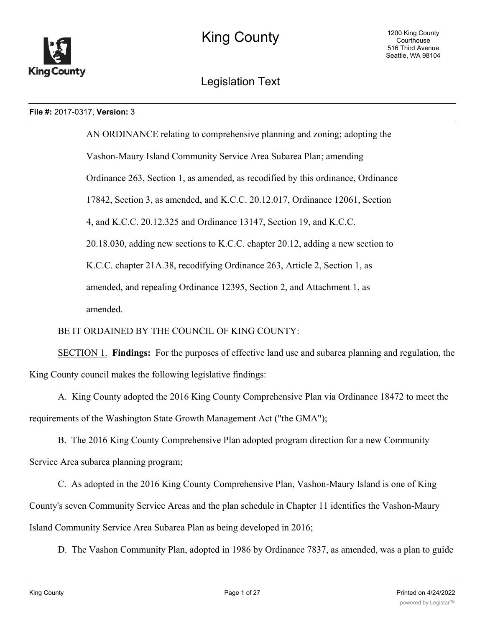

# Legislation Text

#### **File #:** 2017-0317, **Version:** 3

AN ORDINANCE relating to comprehensive planning and zoning; adopting the Vashon-Maury Island Community Service Area Subarea Plan; amending Ordinance 263, Section 1, as amended, as recodified by this ordinance, Ordinance 17842, Section 3, as amended, and K.C.C. 20.12.017, Ordinance 12061, Section 4, and K.C.C. 20.12.325 and Ordinance 13147, Section 19, and K.C.C. 20.18.030, adding new sections to K.C.C. chapter 20.12, adding a new section to K.C.C. chapter 21A.38, recodifying Ordinance 263, Article 2, Section 1, as amended, and repealing Ordinance 12395, Section 2, and Attachment 1, as amended.

# BE IT ORDAINED BY THE COUNCIL OF KING COUNTY:

SECTION 1. **Findings:** For the purposes of effective land use and subarea planning and regulation, the King County council makes the following legislative findings:

A. King County adopted the 2016 King County Comprehensive Plan via Ordinance 18472 to meet the requirements of the Washington State Growth Management Act ("the GMA");

B. The 2016 King County Comprehensive Plan adopted program direction for a new Community Service Area subarea planning program;

C. As adopted in the 2016 King County Comprehensive Plan, Vashon-Maury Island is one of King County's seven Community Service Areas and the plan schedule in Chapter 11 identifies the Vashon-Maury Island Community Service Area Subarea Plan as being developed in 2016;

D. The Vashon Community Plan, adopted in 1986 by Ordinance 7837, as amended, was a plan to guide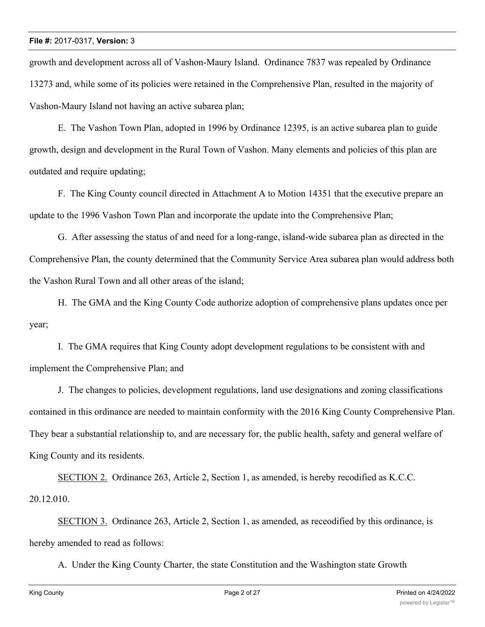growth and development across all of Vashon-Maury Island. Ordinance 7837 was repealed by Ordinance 13273 and, while some of its policies were retained in the Comprehensive Plan, resulted in the majority of Vashon-Maury Island not having an active subarea plan;

E. The Vashon Town Plan, adopted in 1996 by Ordinance 12395, is an active subarea plan to guide growth, design and development in the Rural Town of Vashon. Many elements and policies of this plan are outdated and require updating;

F. The King County council directed in Attachment A to Motion 14351 that the executive prepare an update to the 1996 Vashon Town Plan and incorporate the update into the Comprehensive Plan;

G. After assessing the status of and need for a long-range, island-wide subarea plan as directed in the Comprehensive Plan, the county determined that the Community Service Area subarea plan would address both the Vashon Rural Town and all other areas of the island;

H. The GMA and the King County Code authorize adoption of comprehensive plans updates once per year;

I. The GMA requires that King County adopt development regulations to be consistent with and implement the Comprehensive Plan; and

J. The changes to policies, development regulations, land use designations and zoning classifications contained in this ordinance are needed to maintain conformity with the 2016 King County Comprehensive Plan. They bear a substantial relationship to, and are necessary for, the public health, safety and general welfare of King County and its residents.

SECTION 2. Ordinance 263, Article 2, Section 1, as amended, is hereby recodified as K.C.C. 20.12.010.

SECTION 3. Ordinance 263, Article 2, Section 1, as amended, as receodified by this ordinance, is hereby amended to read as follows:

A. Under the King County Charter, the state Constitution and the Washington state Growth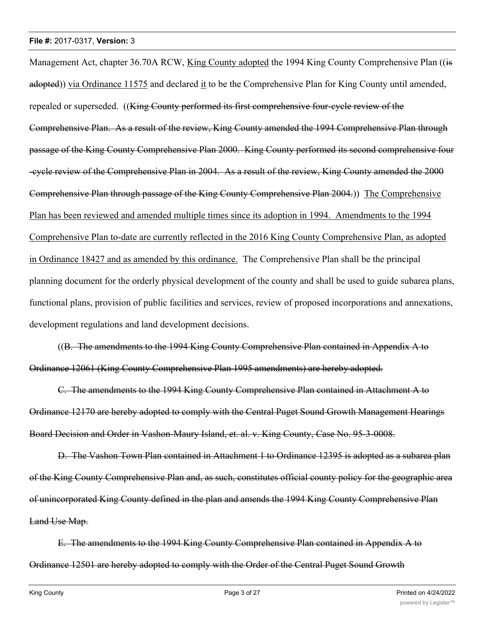Management Act, chapter 36.70A RCW, King County adopted the 1994 King County Comprehensive Plan ((is adopted)) via Ordinance 11575 and declared it to be the Comprehensive Plan for King County until amended, repealed or superseded. ((King County performed its first comprehensive four-cycle review of the Comprehensive Plan. As a result of the review, King County amended the 1994 Comprehensive Plan through passage of the King County Comprehensive Plan 2000. King County performed its second comprehensive four -cycle review of the Comprehensive Plan in 2004. As a result of the review, King County amended the 2000 Comprehensive Plan through passage of the King County Comprehensive Plan 2004.)) The Comprehensive Plan has been reviewed and amended multiple times since its adoption in 1994. Amendments to the 1994 Comprehensive Plan to-date are currently reflected in the 2016 King County Comprehensive Plan, as adopted in Ordinance 18427 and as amended by this ordinance. The Comprehensive Plan shall be the principal planning document for the orderly physical development of the county and shall be used to guide subarea plans, functional plans, provision of public facilities and services, review of proposed incorporations and annexations, development regulations and land development decisions.

((B. The amendments to the 1994 King County Comprehensive Plan contained in Appendix A to Ordinance 12061 (King County Comprehensive Plan 1995 amendments) are hereby adopted.

C. The amendments to the 1994 King County Comprehensive Plan contained in Attachment A to Ordinance 12170 are hereby adopted to comply with the Central Puget Sound Growth Management Hearings Board Decision and Order in Vashon-Maury Island, et. al. v. King County, Case No. 95-3-0008.

D. The Vashon Town Plan contained in Attachment 1 to Ordinance 12395 is adopted as a subarea plan of the King County Comprehensive Plan and, as such, constitutes official county policy for the geographic area of unincorporated King County defined in the plan and amends the 1994 King County Comprehensive Plan Land Use Map.

E. The amendments to the 1994 King County Comprehensive Plan contained in Appendix A to Ordinance 12501 are hereby adopted to comply with the Order of the Central Puget Sound Growth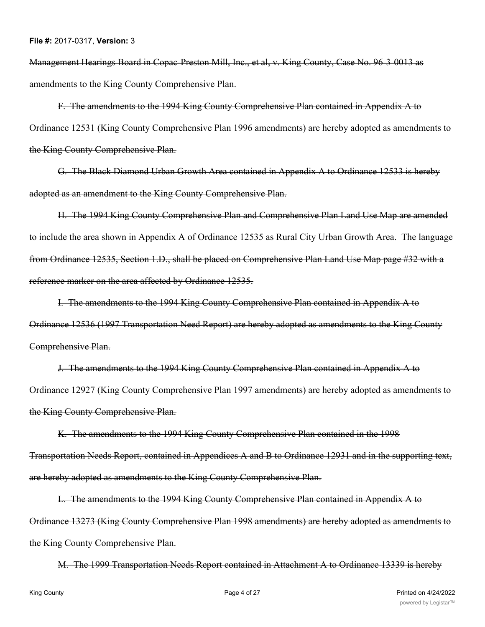Management Hearings Board in Copac-Preston Mill, Inc., et al, v. King County, Case No. 96-3-0013 as amendments to the King County Comprehensive Plan.

F. The amendments to the 1994 King County Comprehensive Plan contained in Appendix A to Ordinance 12531 (King County Comprehensive Plan 1996 amendments) are hereby adopted as amendments to the King County Comprehensive Plan.

G. The Black Diamond Urban Growth Area contained in Appendix A to Ordinance 12533 is hereby adopted as an amendment to the King County Comprehensive Plan.

H. The 1994 King County Comprehensive Plan and Comprehensive Plan Land Use Map are amended to include the area shown in Appendix A of Ordinance 12535 as Rural City Urban Growth Area. The language from Ordinance 12535, Section 1.D., shall be placed on Comprehensive Plan Land Use Map page #32 with a reference marker on the area affected by Ordinance 12535.

I. The amendments to the 1994 King County Comprehensive Plan contained in Appendix A to Ordinance 12536 (1997 Transportation Need Report) are hereby adopted as amendments to the King County Comprehensive Plan.

J. The amendments to the 1994 King County Comprehensive Plan contained in Appendix A to Ordinance 12927 (King County Comprehensive Plan 1997 amendments) are hereby adopted as amendments to the King County Comprehensive Plan.

K. The amendments to the 1994 King County Comprehensive Plan contained in the 1998 Transportation Needs Report, contained in Appendices A and B to Ordinance 12931 and in the supporting text, are hereby adopted as amendments to the King County Comprehensive Plan.

L. The amendments to the 1994 King County Comprehensive Plan contained in Appendix A to Ordinance 13273 (King County Comprehensive Plan 1998 amendments) are hereby adopted as amendments to the King County Comprehensive Plan.

M. The 1999 Transportation Needs Report contained in Attachment A to Ordinance 13339 is hereby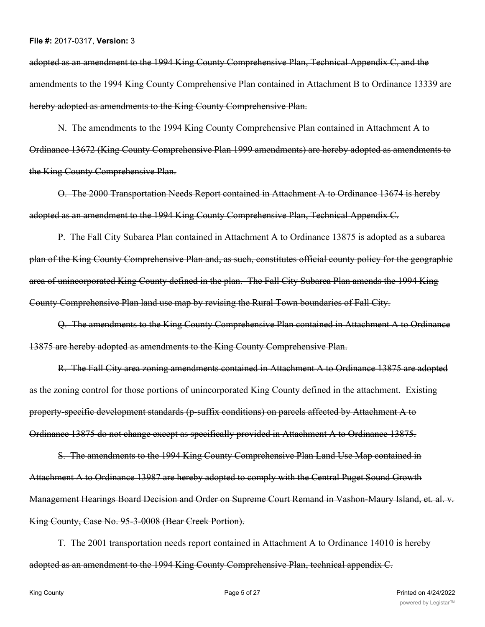adopted as an amendment to the 1994 King County Comprehensive Plan, Technical Appendix C, and the amendments to the 1994 King County Comprehensive Plan contained in Attachment B to Ordinance 13339 are hereby adopted as amendments to the King County Comprehensive Plan.

N. The amendments to the 1994 King County Comprehensive Plan contained in Attachment A to Ordinance 13672 (King County Comprehensive Plan 1999 amendments) are hereby adopted as amendments to the King County Comprehensive Plan.

O. The 2000 Transportation Needs Report contained in Attachment A to Ordinance 13674 is hereby adopted as an amendment to the 1994 King County Comprehensive Plan, Technical Appendix C.

P. The Fall City Subarea Plan contained in Attachment A to Ordinance 13875 is adopted as a subarea plan of the King County Comprehensive Plan and, as such, constitutes official county policy for the geographic area of unincorporated King County defined in the plan. The Fall City Subarea Plan amends the 1994 King County Comprehensive Plan land use map by revising the Rural Town boundaries of Fall City.

Q. The amendments to the King County Comprehensive Plan contained in Attachment A to Ordinance 13875 are hereby adopted as amendments to the King County Comprehensive Plan.

R. The Fall City area zoning amendments contained in Attachment A to Ordinance 13875 are adopted as the zoning control for those portions of unincorporated King County defined in the attachment. Existing property-specific development standards (p-suffix conditions) on parcels affected by Attachment A to Ordinance 13875 do not change except as specifically provided in Attachment A to Ordinance 13875.

S. The amendments to the 1994 King County Comprehensive Plan Land Use Map contained in Attachment A to Ordinance 13987 are hereby adopted to comply with the Central Puget Sound Growth Management Hearings Board Decision and Order on Supreme Court Remand in Vashon-Maury Island, et. al. v. King County, Case No. 95-3-0008 (Bear Creek Portion).

T. The 2001 transportation needs report contained in Attachment A to Ordinance 14010 is hereby adopted as an amendment to the 1994 King County Comprehensive Plan, technical appendix C.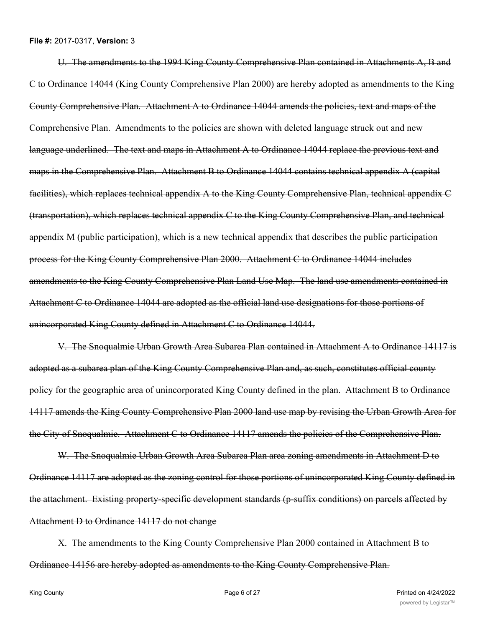U. The amendments to the 1994 King County Comprehensive Plan contained in Attachments A, B and C to Ordinance 14044 (King County Comprehensive Plan 2000) are hereby adopted as amendments to the King County Comprehensive Plan. Attachment A to Ordinance 14044 amends the policies, text and maps of the Comprehensive Plan. Amendments to the policies are shown with deleted language struck out and new language underlined. The text and maps in Attachment A to Ordinance 14044 replace the previous text and maps in the Comprehensive Plan. Attachment B to Ordinance 14044 contains technical appendix A (capital facilities), which replaces technical appendix A to the King County Comprehensive Plan, technical appendix C (transportation), which replaces technical appendix C to the King County Comprehensive Plan, and technical appendix M (public participation), which is a new technical appendix that describes the public participation process for the King County Comprehensive Plan 2000. Attachment C to Ordinance 14044 includes amendments to the King County Comprehensive Plan Land Use Map. The land use amendments contained in Attachment C to Ordinance 14044 are adopted as the official land use designations for those portions of unincorporated King County defined in Attachment C to Ordinance 14044.

V. The Snoqualmie Urban Growth Area Subarea Plan contained in Attachment A to Ordinance 14117 is adopted as a subarea plan of the King County Comprehensive Plan and, as such, constitutes official county policy for the geographic area of unincorporated King County defined in the plan. Attachment B to Ordinance 14117 amends the King County Comprehensive Plan 2000 land use map by revising the Urban Growth Area for the City of Snoqualmie. Attachment C to Ordinance 14117 amends the policies of the Comprehensive Plan.

W. The Snoqualmie Urban Growth Area Subarea Plan area zoning amendments in Attachment D to Ordinance 14117 are adopted as the zoning control for those portions of unincorporated King County defined in the attachment. Existing property-specific development standards (p-suffix conditions) on parcels affected by Attachment D to Ordinance 14117 do not change

X. The amendments to the King County Comprehensive Plan 2000 contained in Attachment B to Ordinance 14156 are hereby adopted as amendments to the King County Comprehensive Plan.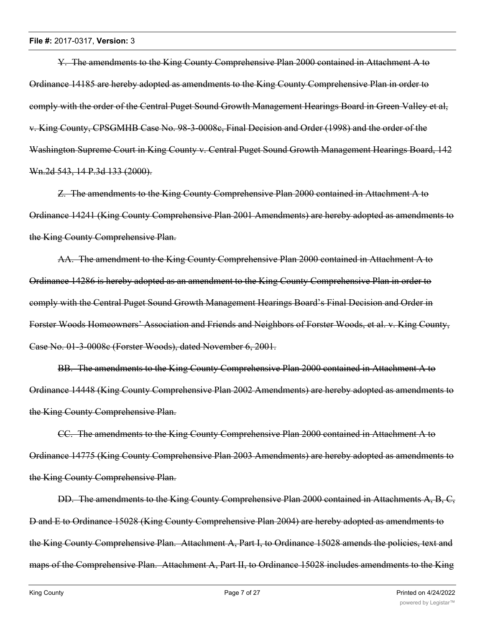Y. The amendments to the King County Comprehensive Plan 2000 contained in Attachment A to Ordinance 14185 are hereby adopted as amendments to the King County Comprehensive Plan in order to comply with the order of the Central Puget Sound Growth Management Hearings Board in Green Valley et al, v. King County, CPSGMHB Case No. 98-3-0008c, Final Decision and Order (1998) and the order of the Washington Supreme Court in King County v. Central Puget Sound Growth Management Hearings Board, 142 Wn.2d 543, 14 P.3d 133 (2000).

Z. The amendments to the King County Comprehensive Plan 2000 contained in Attachment A to Ordinance 14241 (King County Comprehensive Plan 2001 Amendments) are hereby adopted as amendments to the King County Comprehensive Plan.

AA. The amendment to the King County Comprehensive Plan 2000 contained in Attachment A to Ordinance 14286 is hereby adopted as an amendment to the King County Comprehensive Plan in order to comply with the Central Puget Sound Growth Management Hearings Board's Final Decision and Order in Forster Woods Homeowners' Association and Friends and Neighbors of Forster Woods, et al. v. King County, Case No. 01-3-0008c (Forster Woods), dated November 6, 2001.

BB. The amendments to the King County Comprehensive Plan 2000 contained in Attachment A to Ordinance 14448 (King County Comprehensive Plan 2002 Amendments) are hereby adopted as amendments to the King County Comprehensive Plan.

CC. The amendments to the King County Comprehensive Plan 2000 contained in Attachment A to Ordinance 14775 (King County Comprehensive Plan 2003 Amendments) are hereby adopted as amendments to the King County Comprehensive Plan.

DD. The amendments to the King County Comprehensive Plan 2000 contained in Attachments A, B, C, D and E to Ordinance 15028 (King County Comprehensive Plan 2004) are hereby adopted as amendments to the King County Comprehensive Plan. Attachment A, Part I, to Ordinance 15028 amends the policies, text and maps of the Comprehensive Plan. Attachment A, Part II, to Ordinance 15028 includes amendments to the King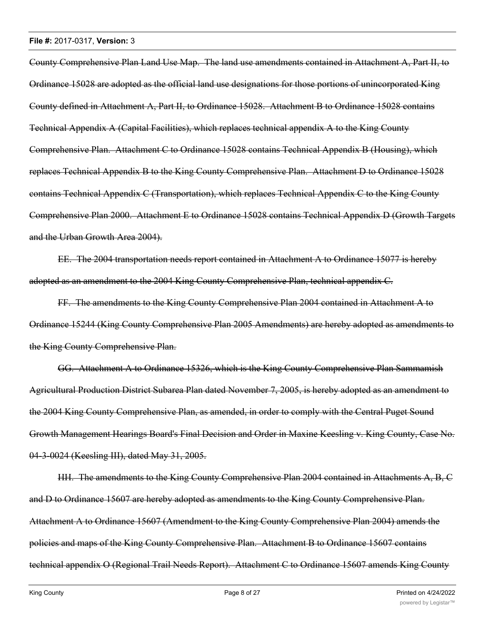County Comprehensive Plan Land Use Map. The land use amendments contained in Attachment A, Part II, to Ordinance 15028 are adopted as the official land use designations for those portions of unincorporated King County defined in Attachment A, Part II, to Ordinance 15028. Attachment B to Ordinance 15028 contains Technical Appendix A (Capital Facilities), which replaces technical appendix A to the King County Comprehensive Plan. Attachment C to Ordinance 15028 contains Technical Appendix B (Housing), which replaces Technical Appendix B to the King County Comprehensive Plan. Attachment D to Ordinance 15028 contains Technical Appendix C (Transportation), which replaces Technical Appendix C to the King County Comprehensive Plan 2000. Attachment E to Ordinance 15028 contains Technical Appendix D (Growth Targets and the Urban Growth Area 2004).

EE. The 2004 transportation needs report contained in Attachment A to Ordinance 15077 is hereby adopted as an amendment to the 2004 King County Comprehensive Plan, technical appendix C.

FF. The amendments to the King County Comprehensive Plan 2004 contained in Attachment A to Ordinance 15244 (King County Comprehensive Plan 2005 Amendments) are hereby adopted as amendments to the King County Comprehensive Plan.

GG. Attachment A to Ordinance 15326, which is the King County Comprehensive Plan Sammamish Agricultural Production District Subarea Plan dated November 7, 2005, is hereby adopted as an amendment to the 2004 King County Comprehensive Plan, as amended, in order to comply with the Central Puget Sound Growth Management Hearings Board's Final Decision and Order in Maxine Keesling v. King County, Case No. 04-3-0024 (Keesling III), dated May 31, 2005.

HH. The amendments to the King County Comprehensive Plan 2004 contained in Attachments A, B, C and D to Ordinance 15607 are hereby adopted as amendments to the King County Comprehensive Plan. Attachment A to Ordinance 15607 (Amendment to the King County Comprehensive Plan 2004) amends the policies and maps of the King County Comprehensive Plan. Attachment B to Ordinance 15607 contains technical appendix O (Regional Trail Needs Report). Attachment C to Ordinance 15607 amends King County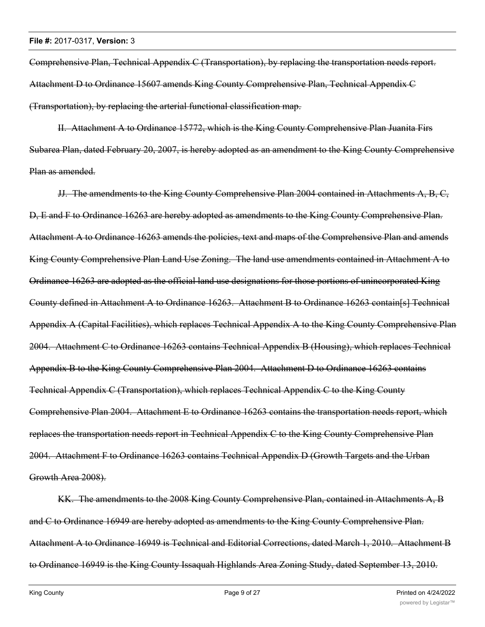Comprehensive Plan, Technical Appendix C (Transportation), by replacing the transportation needs report. Attachment D to Ordinance 15607 amends King County Comprehensive Plan, Technical Appendix C (Transportation), by replacing the arterial functional classification map.

II. Attachment A to Ordinance 15772, which is the King County Comprehensive Plan Juanita Firs Subarea Plan, dated February 20, 2007, is hereby adopted as an amendment to the King County Comprehensive Plan as amended.

JJ. The amendments to the King County Comprehensive Plan 2004 contained in Attachments A, B, C, D, E and F to Ordinance 16263 are hereby adopted as amendments to the King County Comprehensive Plan. Attachment A to Ordinance 16263 amends the policies, text and maps of the Comprehensive Plan and amends King County Comprehensive Plan Land Use Zoning. The land use amendments contained in Attachment A to Ordinance 16263 are adopted as the official land use designations for those portions of unincorporated King County defined in Attachment A to Ordinance 16263. Attachment B to Ordinance 16263 contain[s] Technical Appendix A (Capital Facilities), which replaces Technical Appendix A to the King County Comprehensive Plan 2004. Attachment C to Ordinance 16263 contains Technical Appendix B (Housing), which replaces Technical Appendix B to the King County Comprehensive Plan 2004. Attachment D to Ordinance 16263 contains Technical Appendix C (Transportation), which replaces Technical Appendix C to the King County Comprehensive Plan 2004. Attachment E to Ordinance 16263 contains the transportation needs report, which replaces the transportation needs report in Technical Appendix C to the King County Comprehensive Plan 2004. Attachment F to Ordinance 16263 contains Technical Appendix D (Growth Targets and the Urban Growth Area 2008).

KK. The amendments to the 2008 King County Comprehensive Plan, contained in Attachments A, B and C to Ordinance 16949 are hereby adopted as amendments to the King County Comprehensive Plan. Attachment A to Ordinance 16949 is Technical and Editorial Corrections, dated March 1, 2010. Attachment B to Ordinance 16949 is the King County Issaquah Highlands Area Zoning Study, dated September 13, 2010.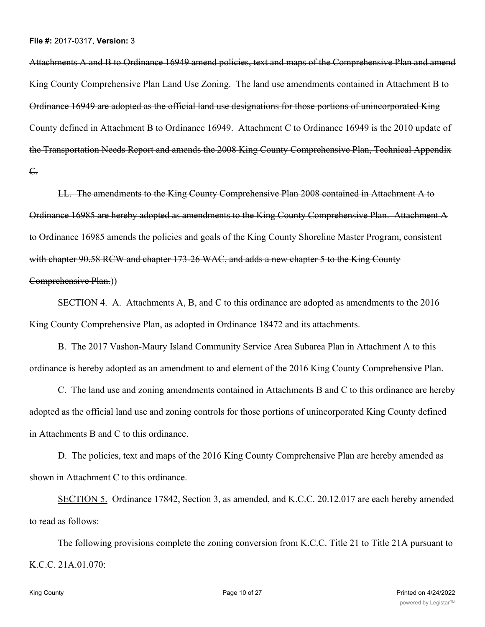Attachments A and B to Ordinance 16949 amend policies, text and maps of the Comprehensive Plan and amend King County Comprehensive Plan Land Use Zoning. The land use amendments contained in Attachment B to Ordinance 16949 are adopted as the official land use designations for those portions of unincorporated King County defined in Attachment B to Ordinance 16949. Attachment C to Ordinance 16949 is the 2010 update of the Transportation Needs Report and amends the 2008 King County Comprehensive Plan, Technical Appendix C.

LL. The amendments to the King County Comprehensive Plan 2008 contained in Attachment A to Ordinance 16985 are hereby adopted as amendments to the King County Comprehensive Plan. Attachment A to Ordinance 16985 amends the policies and goals of the King County Shoreline Master Program, consistent with chapter 90.58 RCW and chapter 173-26 WAC, and adds a new chapter 5 to the King County Comprehensive Plan.))

SECTION 4. A. Attachments A, B, and C to this ordinance are adopted as amendments to the 2016 King County Comprehensive Plan, as adopted in Ordinance 18472 and its attachments.

B. The 2017 Vashon-Maury Island Community Service Area Subarea Plan in Attachment A to this ordinance is hereby adopted as an amendment to and element of the 2016 King County Comprehensive Plan.

C. The land use and zoning amendments contained in Attachments B and C to this ordinance are hereby adopted as the official land use and zoning controls for those portions of unincorporated King County defined in Attachments B and C to this ordinance.

D. The policies, text and maps of the 2016 King County Comprehensive Plan are hereby amended as shown in Attachment C to this ordinance.

SECTION 5. Ordinance 17842, Section 3, as amended, and K.C.C. 20.12.017 are each hereby amended to read as follows:

The following provisions complete the zoning conversion from K.C.C. Title 21 to Title 21A pursuant to K.C.C. 21A.01.070: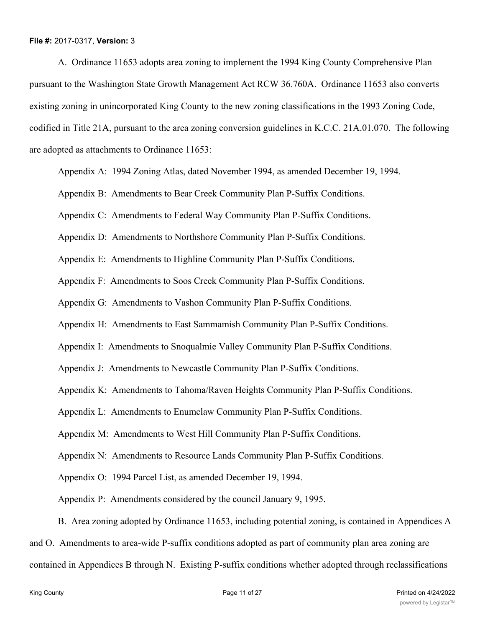A. Ordinance 11653 adopts area zoning to implement the 1994 King County Comprehensive Plan pursuant to the Washington State Growth Management Act RCW 36.760A. Ordinance 11653 also converts existing zoning in unincorporated King County to the new zoning classifications in the 1993 Zoning Code, codified in Title 21A, pursuant to the area zoning conversion guidelines in K.C.C. 21A.01.070. The following are adopted as attachments to Ordinance 11653:

Appendix A: 1994 Zoning Atlas, dated November 1994, as amended December 19, 1994.

Appendix B: Amendments to Bear Creek Community Plan P-Suffix Conditions.

Appendix C: Amendments to Federal Way Community Plan P-Suffix Conditions.

Appendix D: Amendments to Northshore Community Plan P-Suffix Conditions.

Appendix E: Amendments to Highline Community Plan P-Suffix Conditions.

Appendix F: Amendments to Soos Creek Community Plan P-Suffix Conditions.

Appendix G: Amendments to Vashon Community Plan P-Suffix Conditions.

Appendix H: Amendments to East Sammamish Community Plan P-Suffix Conditions.

Appendix I: Amendments to Snoqualmie Valley Community Plan P-Suffix Conditions.

Appendix J: Amendments to Newcastle Community Plan P-Suffix Conditions.

Appendix K: Amendments to Tahoma/Raven Heights Community Plan P-Suffix Conditions.

Appendix L: Amendments to Enumclaw Community Plan P-Suffix Conditions.

Appendix M: Amendments to West Hill Community Plan P-Suffix Conditions.

Appendix N: Amendments to Resource Lands Community Plan P-Suffix Conditions.

Appendix O: 1994 Parcel List, as amended December 19, 1994.

Appendix P: Amendments considered by the council January 9, 1995.

B. Area zoning adopted by Ordinance 11653, including potential zoning, is contained in Appendices A

and O. Amendments to area-wide P-suffix conditions adopted as part of community plan area zoning are

contained in Appendices B through N. Existing P-suffix conditions whether adopted through reclassifications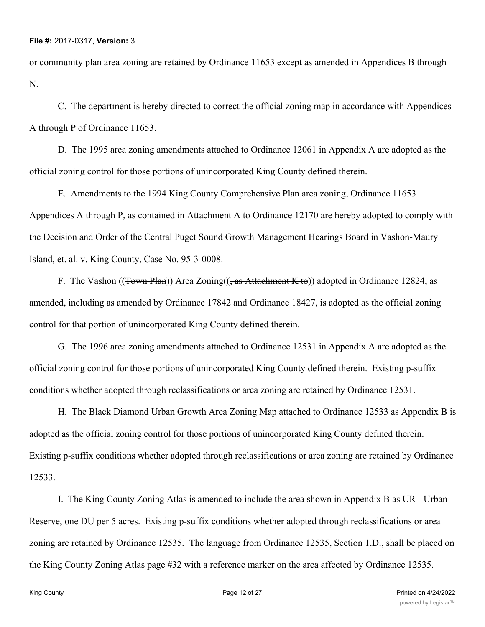or community plan area zoning are retained by Ordinance 11653 except as amended in Appendices B through N.

C. The department is hereby directed to correct the official zoning map in accordance with Appendices A through P of Ordinance 11653.

D. The 1995 area zoning amendments attached to Ordinance 12061 in Appendix A are adopted as the official zoning control for those portions of unincorporated King County defined therein.

E. Amendments to the 1994 King County Comprehensive Plan area zoning, Ordinance 11653 Appendices A through P, as contained in Attachment A to Ordinance 12170 are hereby adopted to comply with the Decision and Order of the Central Puget Sound Growth Management Hearings Board in Vashon-Maury Island, et. al. v. King County, Case No. 95-3-0008.

F. The Vashon ((Town Plan)) Area Zoning((, as Attachment K to)) adopted in Ordinance 12824, as amended, including as amended by Ordinance 17842 and Ordinance 18427, is adopted as the official zoning control for that portion of unincorporated King County defined therein.

G. The 1996 area zoning amendments attached to Ordinance 12531 in Appendix A are adopted as the official zoning control for those portions of unincorporated King County defined therein. Existing p-suffix conditions whether adopted through reclassifications or area zoning are retained by Ordinance 12531.

H. The Black Diamond Urban Growth Area Zoning Map attached to Ordinance 12533 as Appendix B is adopted as the official zoning control for those portions of unincorporated King County defined therein. Existing p-suffix conditions whether adopted through reclassifications or area zoning are retained by Ordinance 12533.

I. The King County Zoning Atlas is amended to include the area shown in Appendix B as UR - Urban Reserve, one DU per 5 acres. Existing p-suffix conditions whether adopted through reclassifications or area zoning are retained by Ordinance 12535. The language from Ordinance 12535, Section 1.D., shall be placed on the King County Zoning Atlas page #32 with a reference marker on the area affected by Ordinance 12535.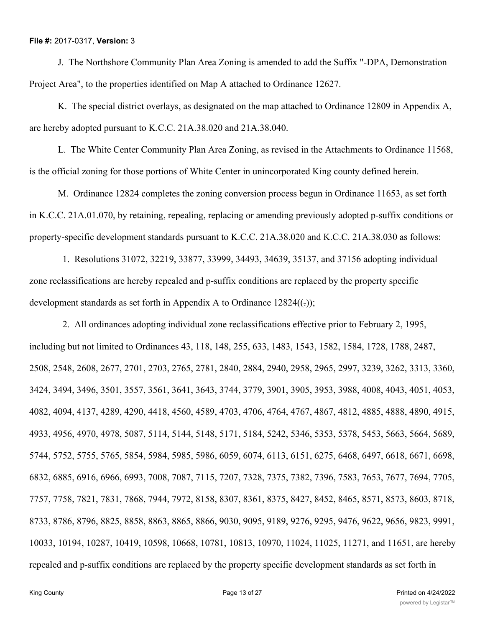J. The Northshore Community Plan Area Zoning is amended to add the Suffix "-DPA, Demonstration Project Area", to the properties identified on Map A attached to Ordinance 12627.

K. The special district overlays, as designated on the map attached to Ordinance 12809 in Appendix A, are hereby adopted pursuant to K.C.C. 21A.38.020 and 21A.38.040.

L. The White Center Community Plan Area Zoning, as revised in the Attachments to Ordinance 11568, is the official zoning for those portions of White Center in unincorporated King county defined herein.

M. Ordinance 12824 completes the zoning conversion process begun in Ordinance 11653, as set forth in K.C.C. 21A.01.070, by retaining, repealing, replacing or amending previously adopted p-suffix conditions or property-specific development standards pursuant to K.C.C. 21A.38.020 and K.C.C. 21A.38.030 as follows:

 1. Resolutions 31072, 32219, 33877, 33999, 34493, 34639, 35137, and 37156 adopting individual zone reclassifications are hereby repealed and p-suffix conditions are replaced by the property specific development standards as set forth in Appendix A to Ordinance  $12824((-))$ ;

 2. All ordinances adopting individual zone reclassifications effective prior to February 2, 1995, including but not limited to Ordinances 43, 118, 148, 255, 633, 1483, 1543, 1582, 1584, 1728, 1788, 2487, 2508, 2548, 2608, 2677, 2701, 2703, 2765, 2781, 2840, 2884, 2940, 2958, 2965, 2997, 3239, 3262, 3313, 3360, 3424, 3494, 3496, 3501, 3557, 3561, 3641, 3643, 3744, 3779, 3901, 3905, 3953, 3988, 4008, 4043, 4051, 4053, 4082, 4094, 4137, 4289, 4290, 4418, 4560, 4589, 4703, 4706, 4764, 4767, 4867, 4812, 4885, 4888, 4890, 4915, 4933, 4956, 4970, 4978, 5087, 5114, 5144, 5148, 5171, 5184, 5242, 5346, 5353, 5378, 5453, 5663, 5664, 5689, 5744, 5752, 5755, 5765, 5854, 5984, 5985, 5986, 6059, 6074, 6113, 6151, 6275, 6468, 6497, 6618, 6671, 6698, 6832, 6885, 6916, 6966, 6993, 7008, 7087, 7115, 7207, 7328, 7375, 7382, 7396, 7583, 7653, 7677, 7694, 7705, 7757, 7758, 7821, 7831, 7868, 7944, 7972, 8158, 8307, 8361, 8375, 8427, 8452, 8465, 8571, 8573, 8603, 8718, 8733, 8786, 8796, 8825, 8858, 8863, 8865, 8866, 9030, 9095, 9189, 9276, 9295, 9476, 9622, 9656, 9823, 9991, 10033, 10194, 10287, 10419, 10598, 10668, 10781, 10813, 10970, 11024, 11025, 11271, and 11651, are hereby repealed and p-suffix conditions are replaced by the property specific development standards as set forth in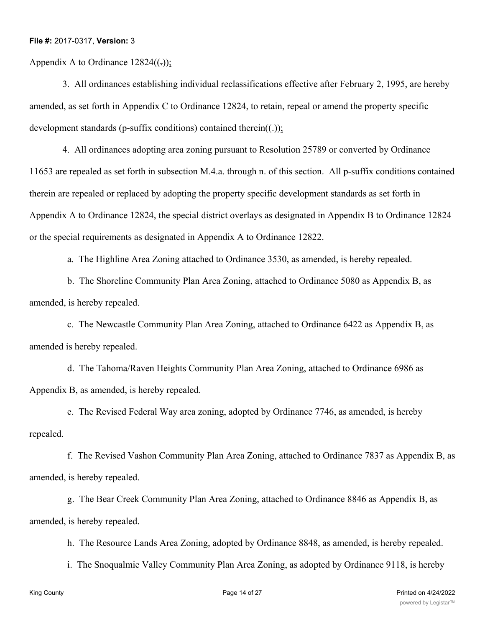Appendix A to Ordinance  $12824(()$ ;

 3. All ordinances establishing individual reclassifications effective after February 2, 1995, are hereby amended, as set forth in Appendix C to Ordinance 12824, to retain, repeal or amend the property specific development standards (p-suffix conditions) contained therein( $(\cdot)$ );

 4. All ordinances adopting area zoning pursuant to Resolution 25789 or converted by Ordinance 11653 are repealed as set forth in subsection M.4.a. through n. of this section. All p-suffix conditions contained therein are repealed or replaced by adopting the property specific development standards as set forth in Appendix A to Ordinance 12824, the special district overlays as designated in Appendix B to Ordinance 12824 or the special requirements as designated in Appendix A to Ordinance 12822.

a. The Highline Area Zoning attached to Ordinance 3530, as amended, is hereby repealed.

 b. The Shoreline Community Plan Area Zoning, attached to Ordinance 5080 as Appendix B, as amended, is hereby repealed.

 c. The Newcastle Community Plan Area Zoning, attached to Ordinance 6422 as Appendix B, as amended is hereby repealed.

 d. The Tahoma/Raven Heights Community Plan Area Zoning, attached to Ordinance 6986 as Appendix B, as amended, is hereby repealed.

 e. The Revised Federal Way area zoning, adopted by Ordinance 7746, as amended, is hereby repealed.

 f. The Revised Vashon Community Plan Area Zoning, attached to Ordinance 7837 as Appendix B, as amended, is hereby repealed.

 g. The Bear Creek Community Plan Area Zoning, attached to Ordinance 8846 as Appendix B, as amended, is hereby repealed.

h. The Resource Lands Area Zoning, adopted by Ordinance 8848, as amended, is hereby repealed.

i. The Snoqualmie Valley Community Plan Area Zoning, as adopted by Ordinance 9118, is hereby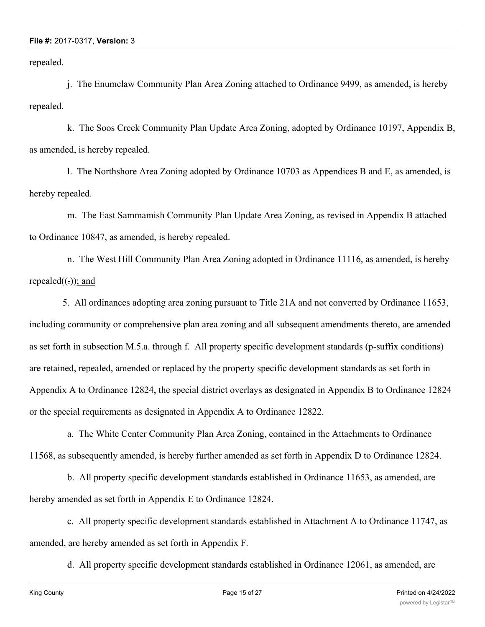repealed.

 j. The Enumclaw Community Plan Area Zoning attached to Ordinance 9499, as amended, is hereby repealed.

 k. The Soos Creek Community Plan Update Area Zoning, adopted by Ordinance 10197, Appendix B, as amended, is hereby repealed.

 l. The Northshore Area Zoning adopted by Ordinance 10703 as Appendices B and E, as amended, is hereby repealed.

 m. The East Sammamish Community Plan Update Area Zoning, as revised in Appendix B attached to Ordinance 10847, as amended, is hereby repealed.

 n. The West Hill Community Plan Area Zoning adopted in Ordinance 11116, as amended, is hereby repealed $((.)$ ; and

 5. All ordinances adopting area zoning pursuant to Title 21A and not converted by Ordinance 11653, including community or comprehensive plan area zoning and all subsequent amendments thereto, are amended as set forth in subsection M.5.a. through f. All property specific development standards (p-suffix conditions) are retained, repealed, amended or replaced by the property specific development standards as set forth in Appendix A to Ordinance 12824, the special district overlays as designated in Appendix B to Ordinance 12824 or the special requirements as designated in Appendix A to Ordinance 12822.

 a. The White Center Community Plan Area Zoning, contained in the Attachments to Ordinance 11568, as subsequently amended, is hereby further amended as set forth in Appendix D to Ordinance 12824.

 b. All property specific development standards established in Ordinance 11653, as amended, are hereby amended as set forth in Appendix E to Ordinance 12824.

 c. All property specific development standards established in Attachment A to Ordinance 11747, as amended, are hereby amended as set forth in Appendix F.

d. All property specific development standards established in Ordinance 12061, as amended, are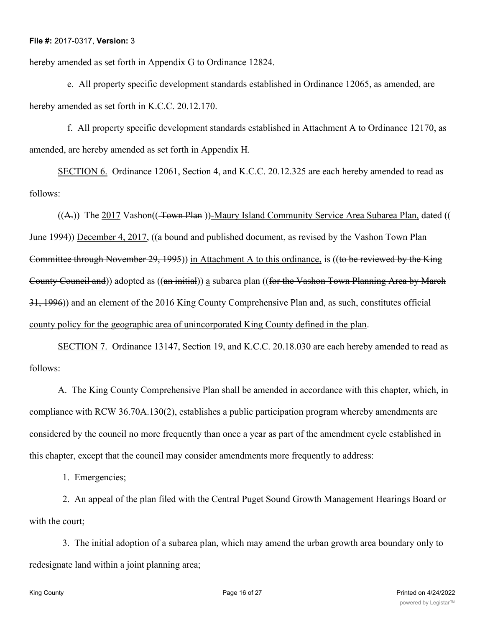hereby amended as set forth in Appendix G to Ordinance 12824.

 e. All property specific development standards established in Ordinance 12065, as amended, are hereby amended as set forth in K.C.C. 20.12.170.

 f. All property specific development standards established in Attachment A to Ordinance 12170, as amended, are hereby amended as set forth in Appendix H.

SECTION 6. Ordinance 12061, Section 4, and K.C.C. 20.12.325 are each hereby amended to read as follows:

 $((A))$  The 2017 Vashon( $(\overline{+}$ own Plan))-Maury Island Community Service Area Subarea Plan, dated (( June 1994)) December 4, 2017, ((a bound and published document, as revised by the Vashon Town Plan Committee through November 29, 1995)) in Attachment A to this ordinance, is ((to be reviewed by the King County Council and)) adopted as ((an initial)) a subarea plan ((for the Vashon Town Planning Area by March 31, 1996)) and an element of the 2016 King County Comprehensive Plan and, as such, constitutes official county policy for the geographic area of unincorporated King County defined in the plan.

SECTION 7. Ordinance 13147, Section 19, and K.C.C. 20.18.030 are each hereby amended to read as follows:

A. The King County Comprehensive Plan shall be amended in accordance with this chapter, which, in compliance with RCW 36.70A.130(2), establishes a public participation program whereby amendments are considered by the council no more frequently than once a year as part of the amendment cycle established in this chapter, except that the council may consider amendments more frequently to address:

1. Emergencies;

 2. An appeal of the plan filed with the Central Puget Sound Growth Management Hearings Board or with the court;

 3. The initial adoption of a subarea plan, which may amend the urban growth area boundary only to redesignate land within a joint planning area;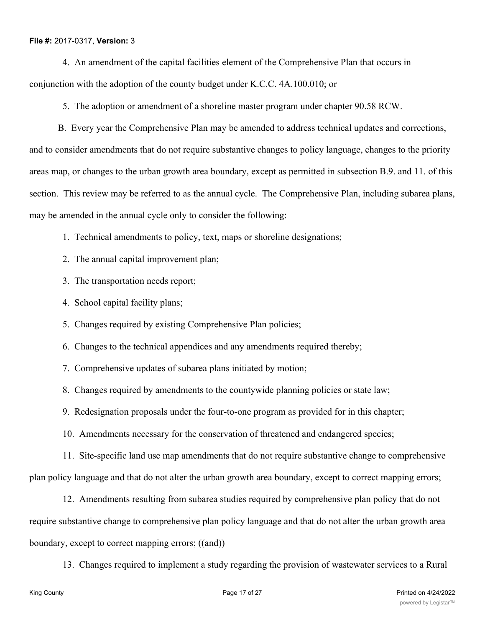4. An amendment of the capital facilities element of the Comprehensive Plan that occurs in conjunction with the adoption of the county budget under K.C.C. 4A.100.010; or

5. The adoption or amendment of a shoreline master program under chapter 90.58 RCW.

B. Every year the Comprehensive Plan may be amended to address technical updates and corrections, and to consider amendments that do not require substantive changes to policy language, changes to the priority areas map, or changes to the urban growth area boundary, except as permitted in subsection B.9. and 11. of this section. This review may be referred to as the annual cycle. The Comprehensive Plan, including subarea plans, may be amended in the annual cycle only to consider the following:

- 1. Technical amendments to policy, text, maps or shoreline designations;
- 2. The annual capital improvement plan;
- 3. The transportation needs report;
- 4. School capital facility plans;
- 5. Changes required by existing Comprehensive Plan policies;
- 6. Changes to the technical appendices and any amendments required thereby;
- 7. Comprehensive updates of subarea plans initiated by motion;
- 8. Changes required by amendments to the countywide planning policies or state law;
- 9. Redesignation proposals under the four-to-one program as provided for in this chapter;
- 10. Amendments necessary for the conservation of threatened and endangered species;

 11. Site-specific land use map amendments that do not require substantive change to comprehensive plan policy language and that do not alter the urban growth area boundary, except to correct mapping errors;

 12. Amendments resulting from subarea studies required by comprehensive plan policy that do not require substantive change to comprehensive plan policy language and that do not alter the urban growth area boundary, except to correct mapping errors; ((and))

13. Changes required to implement a study regarding the provision of wastewater services to a Rural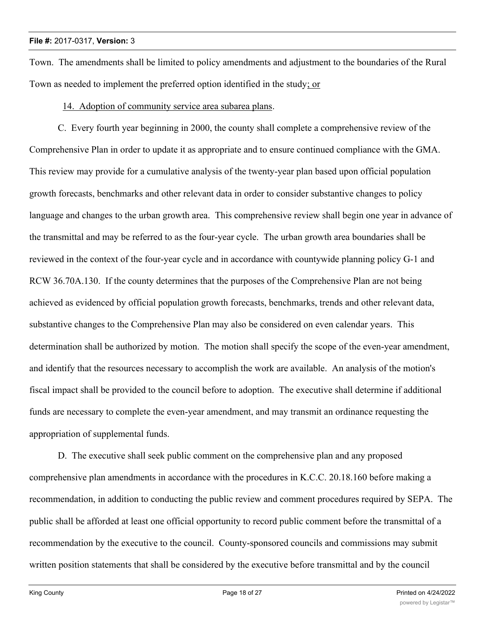Town. The amendments shall be limited to policy amendments and adjustment to the boundaries of the Rural Town as needed to implement the preferred option identified in the study; or

14. Adoption of community service area subarea plans.

C. Every fourth year beginning in 2000, the county shall complete a comprehensive review of the Comprehensive Plan in order to update it as appropriate and to ensure continued compliance with the GMA. This review may provide for a cumulative analysis of the twenty-year plan based upon official population growth forecasts, benchmarks and other relevant data in order to consider substantive changes to policy language and changes to the urban growth area. This comprehensive review shall begin one year in advance of the transmittal and may be referred to as the four-year cycle. The urban growth area boundaries shall be reviewed in the context of the four-year cycle and in accordance with countywide planning policy G-1 and RCW 36.70A.130. If the county determines that the purposes of the Comprehensive Plan are not being achieved as evidenced by official population growth forecasts, benchmarks, trends and other relevant data, substantive changes to the Comprehensive Plan may also be considered on even calendar years. This determination shall be authorized by motion. The motion shall specify the scope of the even-year amendment, and identify that the resources necessary to accomplish the work are available. An analysis of the motion's fiscal impact shall be provided to the council before to adoption. The executive shall determine if additional funds are necessary to complete the even-year amendment, and may transmit an ordinance requesting the appropriation of supplemental funds.

D. The executive shall seek public comment on the comprehensive plan and any proposed comprehensive plan amendments in accordance with the procedures in K.C.C. 20.18.160 before making a recommendation, in addition to conducting the public review and comment procedures required by SEPA. The public shall be afforded at least one official opportunity to record public comment before the transmittal of a recommendation by the executive to the council. County-sponsored councils and commissions may submit written position statements that shall be considered by the executive before transmittal and by the council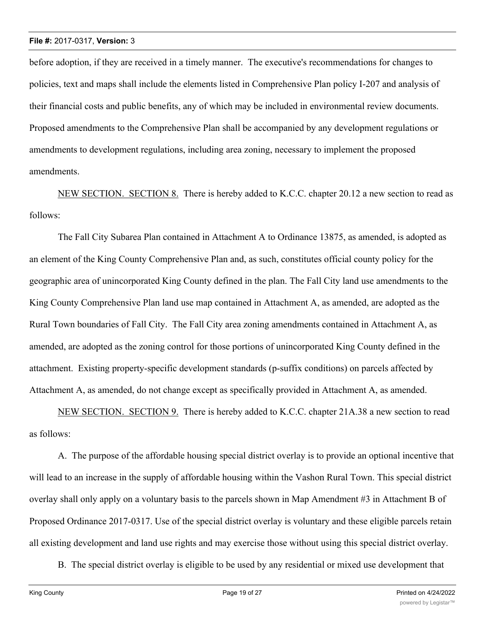before adoption, if they are received in a timely manner. The executive's recommendations for changes to policies, text and maps shall include the elements listed in Comprehensive Plan policy I-207 and analysis of their financial costs and public benefits, any of which may be included in environmental review documents. Proposed amendments to the Comprehensive Plan shall be accompanied by any development regulations or amendments to development regulations, including area zoning, necessary to implement the proposed amendments.

NEW SECTION. SECTION 8. There is hereby added to K.C.C. chapter 20.12 a new section to read as follows:

The Fall City Subarea Plan contained in Attachment A to Ordinance 13875, as amended, is adopted as an element of the King County Comprehensive Plan and, as such, constitutes official county policy for the geographic area of unincorporated King County defined in the plan. The Fall City land use amendments to the King County Comprehensive Plan land use map contained in Attachment A, as amended, are adopted as the Rural Town boundaries of Fall City. The Fall City area zoning amendments contained in Attachment A, as amended, are adopted as the zoning control for those portions of unincorporated King County defined in the attachment. Existing property-specific development standards (p-suffix conditions) on parcels affected by Attachment A, as amended, do not change except as specifically provided in Attachment A, as amended.

NEW SECTION. SECTION 9. There is hereby added to K.C.C. chapter 21A.38 a new section to read as follows:

A. The purpose of the affordable housing special district overlay is to provide an optional incentive that will lead to an increase in the supply of affordable housing within the Vashon Rural Town. This special district overlay shall only apply on a voluntary basis to the parcels shown in Map Amendment #3 in Attachment B of Proposed Ordinance 2017-0317. Use of the special district overlay is voluntary and these eligible parcels retain all existing development and land use rights and may exercise those without using this special district overlay.

B. The special district overlay is eligible to be used by any residential or mixed use development that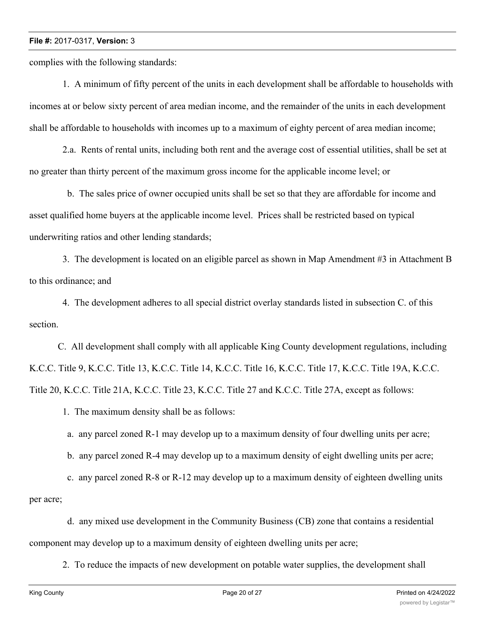complies with the following standards:

 1. A minimum of fifty percent of the units in each development shall be affordable to households with incomes at or below sixty percent of area median income, and the remainder of the units in each development shall be affordable to households with incomes up to a maximum of eighty percent of area median income;

 2.a. Rents of rental units, including both rent and the average cost of essential utilities, shall be set at no greater than thirty percent of the maximum gross income for the applicable income level; or

 b. The sales price of owner occupied units shall be set so that they are affordable for income and asset qualified home buyers at the applicable income level. Prices shall be restricted based on typical underwriting ratios and other lending standards;

 3. The development is located on an eligible parcel as shown in Map Amendment #3 in Attachment B to this ordinance; and

 4. The development adheres to all special district overlay standards listed in subsection C. of this section.

C. All development shall comply with all applicable King County development regulations, including K.C.C. Title 9, K.C.C. Title 13, K.C.C. Title 14, K.C.C. Title 16, K.C.C. Title 17, K.C.C. Title 19A, K.C.C. Title 20, K.C.C. Title 21A, K.C.C. Title 23, K.C.C. Title 27 and K.C.C. Title 27A, except as follows:

1. The maximum density shall be as follows:

a. any parcel zoned R-1 may develop up to a maximum density of four dwelling units per acre;

b. any parcel zoned R-4 may develop up to a maximum density of eight dwelling units per acre;

 c. any parcel zoned R-8 or R-12 may develop up to a maximum density of eighteen dwelling units per acre;

 d. any mixed use development in the Community Business (CB) zone that contains a residential component may develop up to a maximum density of eighteen dwelling units per acre;

2. To reduce the impacts of new development on potable water supplies, the development shall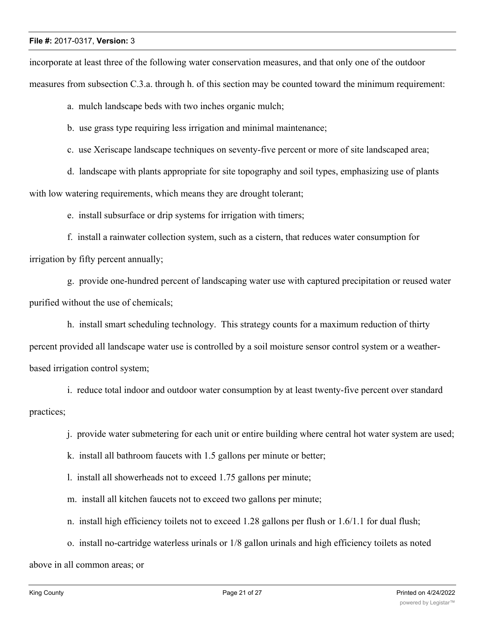incorporate at least three of the following water conservation measures, and that only one of the outdoor measures from subsection C.3.a. through h. of this section may be counted toward the minimum requirement:

a. mulch landscape beds with two inches organic mulch;

b. use grass type requiring less irrigation and minimal maintenance;

c. use Xeriscape landscape techniques on seventy-five percent or more of site landscaped area;

 d. landscape with plants appropriate for site topography and soil types, emphasizing use of plants with low watering requirements, which means they are drought tolerant;

e. install subsurface or drip systems for irrigation with timers;

 f. install a rainwater collection system, such as a cistern, that reduces water consumption for irrigation by fifty percent annually;

 g. provide one-hundred percent of landscaping water use with captured precipitation or reused water purified without the use of chemicals;

 h. install smart scheduling technology. This strategy counts for a maximum reduction of thirty percent provided all landscape water use is controlled by a soil moisture sensor control system or a weatherbased irrigation control system;

 i. reduce total indoor and outdoor water consumption by at least twenty-five percent over standard practices;

j. provide water submetering for each unit or entire building where central hot water system are used;

k. install all bathroom faucets with 1.5 gallons per minute or better;

l. install all showerheads not to exceed 1.75 gallons per minute;

m. install all kitchen faucets not to exceed two gallons per minute;

n. install high efficiency toilets not to exceed 1.28 gallons per flush or 1.6/1.1 for dual flush;

o. install no-cartridge waterless urinals or 1/8 gallon urinals and high efficiency toilets as noted

above in all common areas; or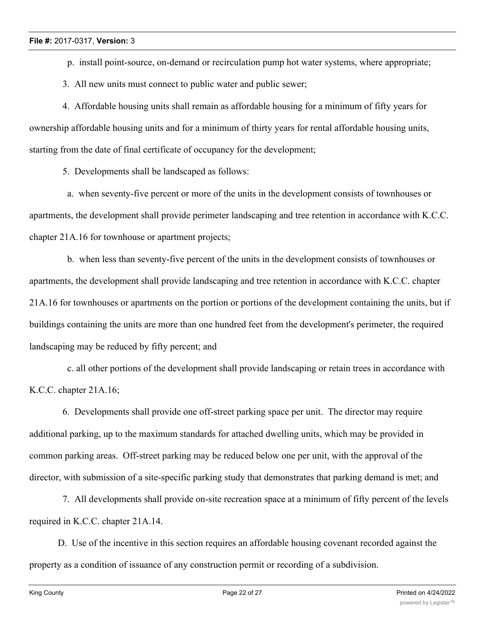p. install point-source, on-demand or recirculation pump hot water systems, where appropriate;

3. All new units must connect to public water and public sewer;

 4. Affordable housing units shall remain as affordable housing for a minimum of fifty years for ownership affordable housing units and for a minimum of thirty years for rental affordable housing units, starting from the date of final certificate of occupancy for the development;

5. Developments shall be landscaped as follows:

 a. when seventy-five percent or more of the units in the development consists of townhouses or apartments, the development shall provide perimeter landscaping and tree retention in accordance with K.C.C. chapter 21A.16 for townhouse or apartment projects;

 b. when less than seventy-five percent of the units in the development consists of townhouses or apartments, the development shall provide landscaping and tree retention in accordance with K.C.C. chapter 21A.16 for townhouses or apartments on the portion or portions of the development containing the units, but if buildings containing the units are more than one hundred feet from the development's perimeter, the required landscaping may be reduced by fifty percent; and

 c. all other portions of the development shall provide landscaping or retain trees in accordance with K.C.C. chapter 21A.16;

 6. Developments shall provide one off-street parking space per unit. The director may require additional parking, up to the maximum standards for attached dwelling units, which may be provided in common parking areas. Off-street parking may be reduced below one per unit, with the approval of the director, with submission of a site-specific parking study that demonstrates that parking demand is met; and

 7. All developments shall provide on-site recreation space at a minimum of fifty percent of the levels required in K.C.C. chapter 21A.14.

D. Use of the incentive in this section requires an affordable housing covenant recorded against the property as a condition of issuance of any construction permit or recording of a subdivision.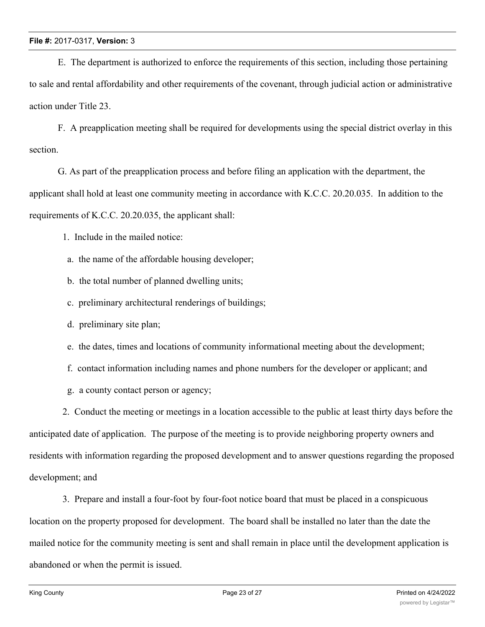E. The department is authorized to enforce the requirements of this section, including those pertaining to sale and rental affordability and other requirements of the covenant, through judicial action or administrative action under Title 23.

F. A preapplication meeting shall be required for developments using the special district overlay in this section.

G. As part of the preapplication process and before filing an application with the department, the applicant shall hold at least one community meeting in accordance with K.C.C. 20.20.035. In addition to the requirements of K.C.C. 20.20.035, the applicant shall:

1. Include in the mailed notice:

a. the name of the affordable housing developer;

b. the total number of planned dwelling units;

c. preliminary architectural renderings of buildings;

d. preliminary site plan;

e. the dates, times and locations of community informational meeting about the development;

f. contact information including names and phone numbers for the developer or applicant; and

g. a county contact person or agency;

 2. Conduct the meeting or meetings in a location accessible to the public at least thirty days before the anticipated date of application. The purpose of the meeting is to provide neighboring property owners and residents with information regarding the proposed development and to answer questions regarding the proposed development; and

 3. Prepare and install a four-foot by four-foot notice board that must be placed in a conspicuous location on the property proposed for development. The board shall be installed no later than the date the mailed notice for the community meeting is sent and shall remain in place until the development application is abandoned or when the permit is issued.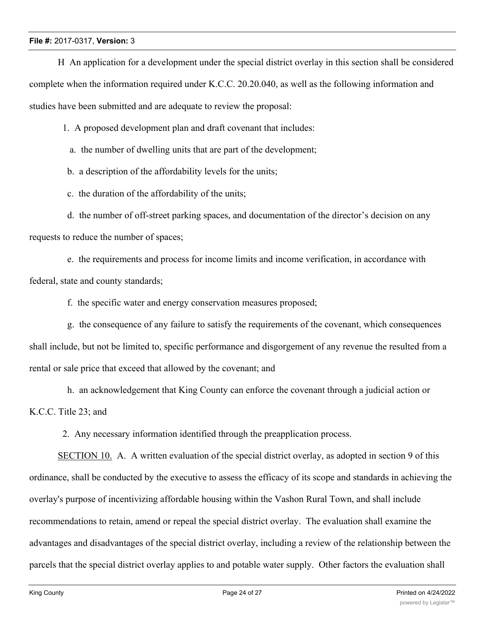H An application for a development under the special district overlay in this section shall be considered complete when the information required under K.C.C. 20.20.040, as well as the following information and studies have been submitted and are adequate to review the proposal:

1. A proposed development plan and draft covenant that includes:

a. the number of dwelling units that are part of the development;

b. a description of the affordability levels for the units;

c. the duration of the affordability of the units;

 d. the number of off-street parking spaces, and documentation of the director's decision on any requests to reduce the number of spaces;

 e. the requirements and process for income limits and income verification, in accordance with federal, state and county standards;

f. the specific water and energy conservation measures proposed;

 g. the consequence of any failure to satisfy the requirements of the covenant, which consequences shall include, but not be limited to, specific performance and disgorgement of any revenue the resulted from a rental or sale price that exceed that allowed by the covenant; and

 h. an acknowledgement that King County can enforce the covenant through a judicial action or K.C.C. Title 23; and

2. Any necessary information identified through the preapplication process.

SECTION 10. A. A written evaluation of the special district overlay, as adopted in section 9 of this ordinance, shall be conducted by the executive to assess the efficacy of its scope and standards in achieving the overlay's purpose of incentivizing affordable housing within the Vashon Rural Town, and shall include recommendations to retain, amend or repeal the special district overlay. The evaluation shall examine the advantages and disadvantages of the special district overlay, including a review of the relationship between the parcels that the special district overlay applies to and potable water supply. Other factors the evaluation shall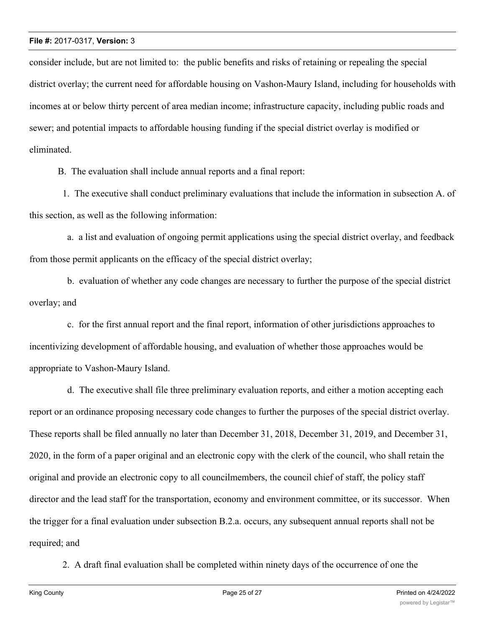consider include, but are not limited to: the public benefits and risks of retaining or repealing the special district overlay; the current need for affordable housing on Vashon-Maury Island, including for households with incomes at or below thirty percent of area median income; infrastructure capacity, including public roads and sewer; and potential impacts to affordable housing funding if the special district overlay is modified or eliminated.

B. The evaluation shall include annual reports and a final report:

 1. The executive shall conduct preliminary evaluations that include the information in subsection A. of this section, as well as the following information:

 a. a list and evaluation of ongoing permit applications using the special district overlay, and feedback from those permit applicants on the efficacy of the special district overlay;

 b. evaluation of whether any code changes are necessary to further the purpose of the special district overlay; and

 c. for the first annual report and the final report, information of other jurisdictions approaches to incentivizing development of affordable housing, and evaluation of whether those approaches would be appropriate to Vashon-Maury Island.

 d. The executive shall file three preliminary evaluation reports, and either a motion accepting each report or an ordinance proposing necessary code changes to further the purposes of the special district overlay. These reports shall be filed annually no later than December 31, 2018, December 31, 2019, and December 31, 2020, in the form of a paper original and an electronic copy with the clerk of the council, who shall retain the original and provide an electronic copy to all councilmembers, the council chief of staff, the policy staff director and the lead staff for the transportation, economy and environment committee, or its successor. When the trigger for a final evaluation under subsection B.2.a. occurs, any subsequent annual reports shall not be required; and

2. A draft final evaluation shall be completed within ninety days of the occurrence of one the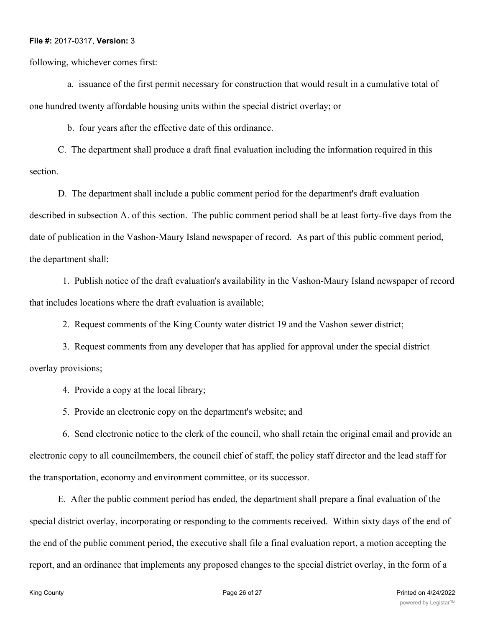following, whichever comes first:

 a. issuance of the first permit necessary for construction that would result in a cumulative total of one hundred twenty affordable housing units within the special district overlay; or

b. four years after the effective date of this ordinance.

C. The department shall produce a draft final evaluation including the information required in this section.

D. The department shall include a public comment period for the department's draft evaluation described in subsection A. of this section. The public comment period shall be at least forty-five days from the date of publication in the Vashon-Maury Island newspaper of record. As part of this public comment period, the department shall:

 1. Publish notice of the draft evaluation's availability in the Vashon-Maury Island newspaper of record that includes locations where the draft evaluation is available;

2. Request comments of the King County water district 19 and the Vashon sewer district;

 3. Request comments from any developer that has applied for approval under the special district overlay provisions;

4. Provide a copy at the local library;

5. Provide an electronic copy on the department's website; and

 6. Send electronic notice to the clerk of the council, who shall retain the original email and provide an electronic copy to all councilmembers, the council chief of staff, the policy staff director and the lead staff for the transportation, economy and environment committee, or its successor.

E. After the public comment period has ended, the department shall prepare a final evaluation of the special district overlay, incorporating or responding to the comments received. Within sixty days of the end of the end of the public comment period, the executive shall file a final evaluation report, a motion accepting the report, and an ordinance that implements any proposed changes to the special district overlay, in the form of a